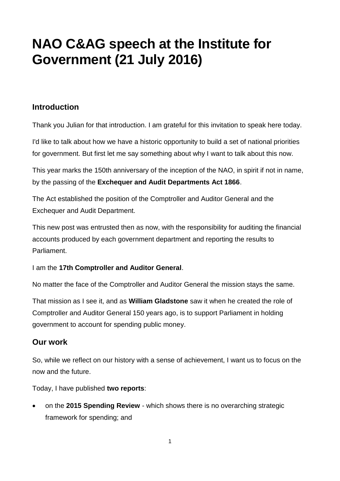# **NAO C&AG speech at the Institute for Government (21 July 2016)**

# **Introduction**

Thank you Julian for that introduction. I am grateful for this invitation to speak here today.

I'd like to talk about how we have a historic opportunity to build a set of national priorities for government. But first let me say something about why I want to talk about this now.

This year marks the 150th anniversary of the inception of the NAO, in spirit if not in name, by the passing of the **Exchequer and Audit Departments Act 1866**.

The Act established the position of the Comptroller and Auditor General and the Exchequer and Audit Department.

This new post was entrusted then as now, with the responsibility for auditing the financial accounts produced by each government department and reporting the results to Parliament.

I am the **17th Comptroller and Auditor General**.

No matter the face of the Comptroller and Auditor General the mission stays the same.

That mission as I see it, and as **William Gladstone** saw it when he created the role of Comptroller and Auditor General 150 years ago, is to support Parliament in holding government to account for spending public money.

#### **Our work**

So, while we reflect on our history with a sense of achievement, I want us to focus on the now and the future.

Today, I have published **two reports**:

 on the **2015 Spending Review** - which shows there is no overarching strategic framework for spending; and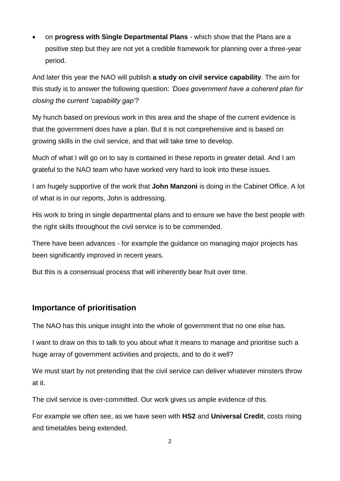on **progress with Single Departmental Plans** - which show that the Plans are a positive step but they are not yet a credible framework for planning over a three-year period.

And later this year the NAO will publish **a study on civil service capability**. The aim for this study is to answer the following question: *'Does government have a coherent plan for closing the current 'capability gap'?*

My hunch based on previous work in this area and the shape of the current evidence is that the government does have a plan. But it is not comprehensive and is based on growing skills in the civil service, and that will take time to develop.

Much of what I will go on to say is contained in these reports in greater detail. And I am grateful to the NAO team who have worked very hard to look into these issues.

I am hugely supportive of the work that **John Manzoni** is doing in the Cabinet Office. A lot of what is in our reports, John is addressing.

His work to bring in single departmental plans and to ensure we have the best people with the right skills throughout the civil service is to be commended.

There have been advances - for example the guidance on managing major projects has been significantly improved in recent years.

But this is a consensual process that will inherently bear fruit over time.

#### **Importance of prioritisation**

The NAO has this unique insight into the whole of government that no one else has.

I want to draw on this to talk to you about what it means to manage and prioritise such a huge array of government activities and projects, and to do it well?

We must start by not pretending that the civil service can deliver whatever minsters throw at it.

The civil service is over-committed. Our work gives us ample evidence of this.

For example we often see, as we have seen with **HS2** and **Universal Credit**, costs rising and timetables being extended.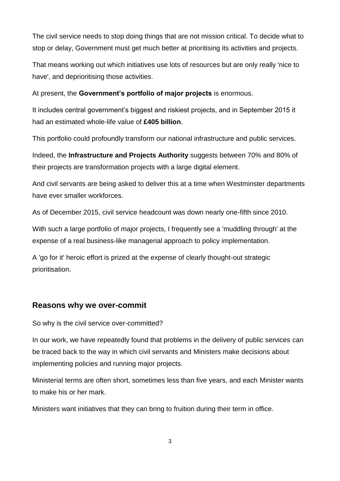The civil service needs to stop doing things that are not mission critical. To decide what to stop or delay, Government must get much better at prioritising its activities and projects.

That means working out which initiatives use lots of resources but are only really 'nice to have', and deprioritising those activities.

At present, the **Government's portfolio of major projects** is enormous.

It includes central government's biggest and riskiest projects, and in September 2015 it had an estimated whole-life value of **£405 billion**.

This portfolio could profoundly transform our national infrastructure and public services.

Indeed, the **Infrastructure and Projects Authority** suggests between 70% and 80% of their projects are transformation projects with a large digital element.

And civil servants are being asked to deliver this at a time when Westminster departments have ever smaller workforces.

As of December 2015, civil service headcount was down nearly one-fifth since 2010.

With such a large portfolio of major projects, I frequently see a 'muddling through' at the expense of a real business-like managerial approach to policy implementation.

A 'go for it' heroic effort is prized at the expense of clearly thought-out strategic prioritisation.

## **Reasons why we over-commit**

So why is the civil service over-committed?

In our work, we have repeatedly found that problems in the delivery of public services can be traced back to the way in which civil servants and Ministers make decisions about implementing policies and running major projects.

Ministerial terms are often short, sometimes less than five years, and each Minister wants to make his or her mark.

Ministers want initiatives that they can bring to fruition during their term in office.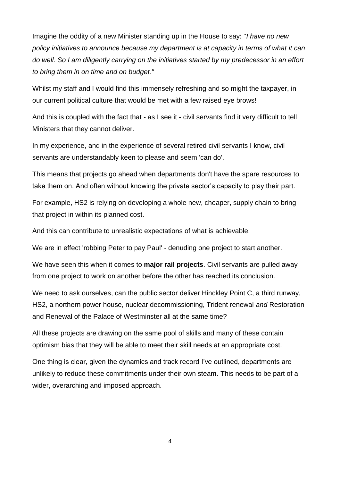Imagine the oddity of a new Minister standing up in the House to say: "*I have no new policy initiatives to announce because my department is at capacity in terms of what it can do well. So I am diligently carrying on the initiatives started by my predecessor in an effort to bring them in on time and on budget."*

Whilst my staff and I would find this immensely refreshing and so might the taxpayer, in our current political culture that would be met with a few raised eye brows!

And this is coupled with the fact that - as I see it - civil servants find it very difficult to tell Ministers that they cannot deliver.

In my experience, and in the experience of several retired civil servants I know, civil servants are understandably keen to please and seem 'can do'.

This means that projects go ahead when departments don't have the spare resources to take them on. And often without knowing the private sector's capacity to play their part.

For example, HS2 is relying on developing a whole new, cheaper, supply chain to bring that project in within its planned cost.

And this can contribute to unrealistic expectations of what is achievable.

We are in effect 'robbing Peter to pay Paul' - denuding one project to start another.

We have seen this when it comes to **major rail projects**. Civil servants are pulled away from one project to work on another before the other has reached its conclusion.

We need to ask ourselves, can the public sector deliver Hinckley Point C, a third runway, HS2, a northern power house, nuclear decommissioning, Trident renewal *and* Restoration and Renewal of the Palace of Westminster all at the same time?

All these projects are drawing on the same pool of skills and many of these contain optimism bias that they will be able to meet their skill needs at an appropriate cost.

One thing is clear, given the dynamics and track record I've outlined, departments are unlikely to reduce these commitments under their own steam. This needs to be part of a wider, overarching and imposed approach.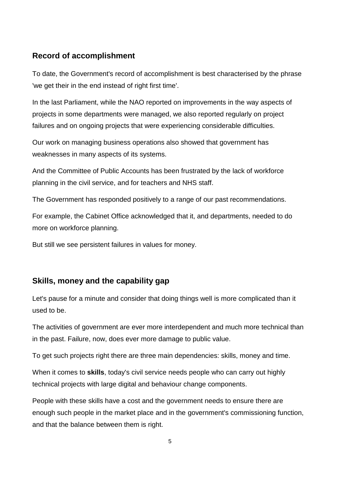#### **Record of accomplishment**

To date, the Government's record of accomplishment is best characterised by the phrase 'we get their in the end instead of right first time'.

In the last Parliament, while the NAO reported on improvements in the way aspects of projects in some departments were managed, we also reported regularly on project failures and on ongoing projects that were experiencing considerable difficulties.

Our work on managing business operations also showed that government has weaknesses in many aspects of its systems.

And the Committee of Public Accounts has been frustrated by the lack of workforce planning in the civil service, and for teachers and NHS staff.

The Government has responded positively to a range of our past recommendations.

For example, the Cabinet Office acknowledged that it, and departments, needed to do more on workforce planning.

But still we see persistent failures in values for money.

#### **Skills, money and the capability gap**

Let's pause for a minute and consider that doing things well is more complicated than it used to be.

The activities of government are ever more interdependent and much more technical than in the past. Failure, now, does ever more damage to public value.

To get such projects right there are three main dependencies: skills, money and time.

When it comes to **skills**, today's civil service needs people who can carry out highly technical projects with large digital and behaviour change components.

People with these skills have a cost and the government needs to ensure there are enough such people in the market place and in the government's commissioning function, and that the balance between them is right.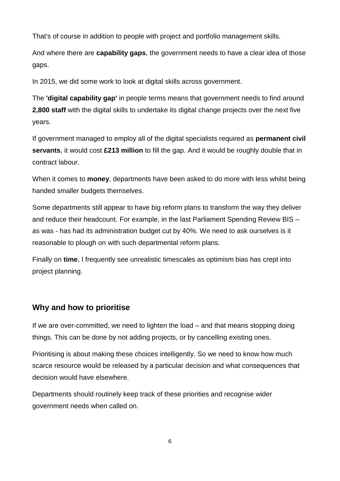That's of course in addition to people with project and portfolio management skills.

And where there are **capability gaps**, the government needs to have a clear idea of those gaps.

In 2015, we did some work to look at digital skills across government.

The **'digital capability gap'** in people terms means that government needs to find around **2,800 staff** with the digital skills to undertake its digital change projects over the next five years.

If government managed to employ all of the digital specialists required as **permanent civil servants**, it would cost **£213 million** to fill the gap. And it would be roughly double that in contract labour.

When it comes to **money**, departments have been asked to do more with less whilst being handed smaller budgets themselves.

Some departments still appear to have big reform plans to transform the way they deliver and reduce their headcount. For example, in the last Parliament Spending Review BIS – as was - has had its administration budget cut by 40%. We need to ask ourselves is it reasonable to plough on with such departmental reform plans.

Finally on **time**, I frequently see unrealistic timescales as optimism bias has crept into project planning.

# **Why and how to prioritise**

If we are over-committed, we need to lighten the load – and that means stopping doing things. This can be done by not adding projects, or by cancelling existing ones.

Prioritising is about making these choices intelligently. So we need to know how much scarce resource would be released by a particular decision and what consequences that decision would have elsewhere.

Departments should routinely keep track of these priorities and recognise wider government needs when called on.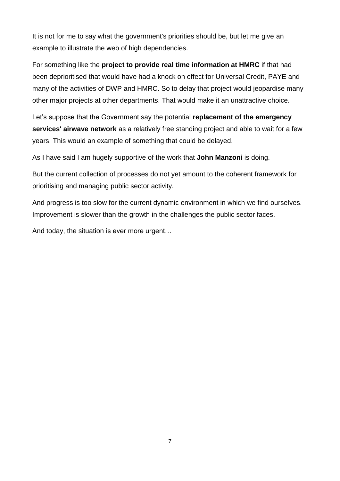It is not for me to say what the government's priorities should be, but let me give an example to illustrate the web of high dependencies.

For something like the **project to provide real time information at HMRC** if that had been deprioritised that would have had a knock on effect for Universal Credit, PAYE and many of the activities of DWP and HMRC. So to delay that project would jeopardise many other major projects at other departments. That would make it an unattractive choice.

Let's suppose that the Government say the potential **replacement of the emergency services' airwave network** as a relatively free standing project and able to wait for a few years. This would an example of something that could be delayed.

As I have said I am hugely supportive of the work that **John Manzoni** is doing.

But the current collection of processes do not yet amount to the coherent framework for prioritising and managing public sector activity.

And progress is too slow for the current dynamic environment in which we find ourselves. Improvement is slower than the growth in the challenges the public sector faces.

And today, the situation is ever more urgent…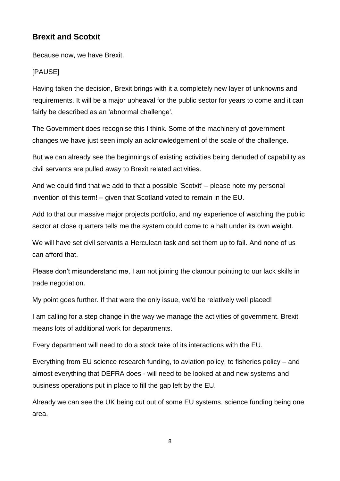## **Brexit and Scotxit**

Because now, we have Brexit.

#### [PAUSE]

Having taken the decision, Brexit brings with it a completely new layer of unknowns and requirements. It will be a major upheaval for the public sector for years to come and it can fairly be described as an 'abnormal challenge'.

The Government does recognise this I think. Some of the machinery of government changes we have just seen imply an acknowledgement of the scale of the challenge.

But we can already see the beginnings of existing activities being denuded of capability as civil servants are pulled away to Brexit related activities.

And we could find that we add to that a possible 'Scotxit' – please note my personal invention of this term! – given that Scotland voted to remain in the EU.

Add to that our massive major projects portfolio, and my experience of watching the public sector at close quarters tells me the system could come to a halt under its own weight.

We will have set civil servants a Herculean task and set them up to fail. And none of us can afford that.

Please don't misunderstand me, I am not joining the clamour pointing to our lack skills in trade negotiation.

My point goes further. If that were the only issue, we'd be relatively well placed!

I am calling for a step change in the way we manage the activities of government. Brexit means lots of additional work for departments.

Every department will need to do a stock take of its interactions with the EU.

Everything from EU science research funding, to aviation policy, to fisheries policy – and almost everything that DEFRA does - will need to be looked at and new systems and business operations put in place to fill the gap left by the EU.

Already we can see the UK being cut out of some EU systems, science funding being one area.